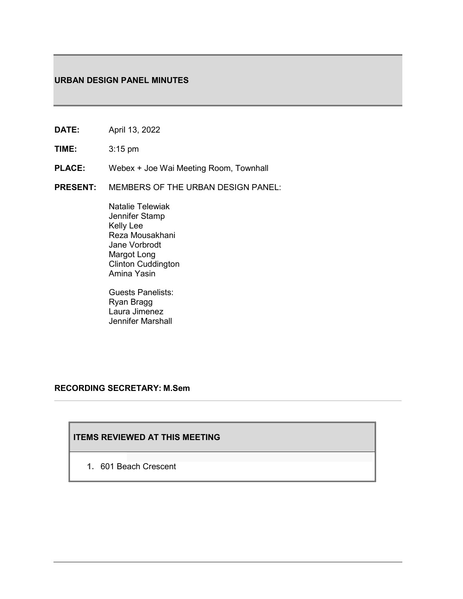## **URBAN DESIGN PANEL MINUTES**

- **DATE:** April 13, 2022
- **TIME:** 3:15 pm
- **PLACE:** Webex + Joe Wai Meeting Room, Townhall
- **PRESENT:** MEMBERS OF THE URBAN DESIGN PANEL:

Natalie Telewiak Jennifer Stamp Kelly Lee Reza Mousakhani Jane Vorbrodt Margot Long Clinton Cuddington Amina Yasin

Guests Panelists: Ryan Bragg Laura Jimenez Jennifer Marshall

## **RECORDING SECRETARY: M.Sem**

# **ITEMS REVIEWED AT THIS MEETING**

**1.** 601 Beach Crescent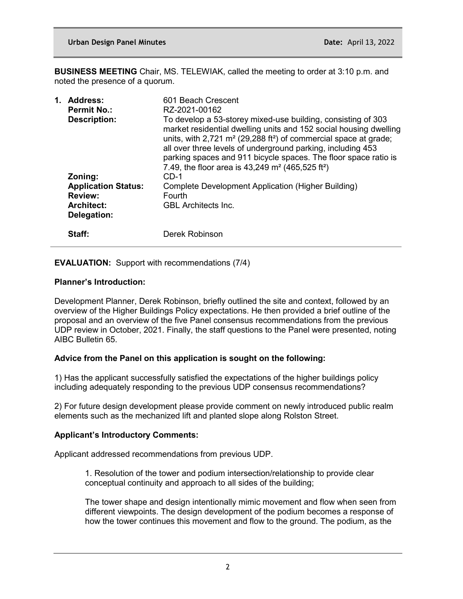**BUSINESS MEETING** Chair, MS. TELEWIAK, called the meeting to order at 3:10 p.m. and noted the presence of a quorum.

| 1. | <b>Address:</b><br><b>Permit No.:</b><br><b>Description:</b>                                | 601 Beach Crescent<br>RZ-2021-00162<br>To develop a 53-storey mixed-use building, consisting of 303<br>market residential dwelling units and 152 social housing dwelling<br>units, with 2,721 $m2$ (29,288 ft <sup>2</sup> ) of commercial space at grade;<br>all over three levels of underground parking, including 453<br>parking spaces and 911 bicycle spaces. The floor space ratio is<br>7.49, the floor area is $43,249$ m <sup>2</sup> (465,525 ft <sup>2</sup> ) |
|----|---------------------------------------------------------------------------------------------|----------------------------------------------------------------------------------------------------------------------------------------------------------------------------------------------------------------------------------------------------------------------------------------------------------------------------------------------------------------------------------------------------------------------------------------------------------------------------|
|    | Zoning:<br><b>Application Status:</b><br><b>Review:</b><br><b>Architect:</b><br>Delegation: | $CD-1$<br>Complete Development Application (Higher Building)<br>Fourth<br><b>GBL</b> Architects Inc.                                                                                                                                                                                                                                                                                                                                                                       |
|    | Staff:                                                                                      | Derek Robinson                                                                                                                                                                                                                                                                                                                                                                                                                                                             |

## **EVALUATION:** Support with recommendations (7/4)

### **Planner's Introduction:**

Development Planner, Derek Robinson, briefly outlined the site and context, followed by an overview of the Higher Buildings Policy expectations. He then provided a brief outline of the proposal and an overview of the five Panel consensus recommendations from the previous UDP review in October, 2021. Finally, the staff questions to the Panel were presented, noting AIBC Bulletin 65.

## **Advice from the Panel on this application is sought on the following:**

1) Has the applicant successfully satisfied the expectations of the higher buildings policy including adequately responding to the previous UDP consensus recommendations?

2) For future design development please provide comment on newly introduced public realm elements such as the mechanized lift and planted slope along Rolston Street.

## **Applicant's Introductory Comments:**

Applicant addressed recommendations from previous UDP.

1. Resolution of the tower and podium intersection/relationship to provide clear conceptual continuity and approach to all sides of the building;

The tower shape and design intentionally mimic movement and flow when seen from different viewpoints. The design development of the podium becomes a response of how the tower continues this movement and flow to the ground. The podium, as the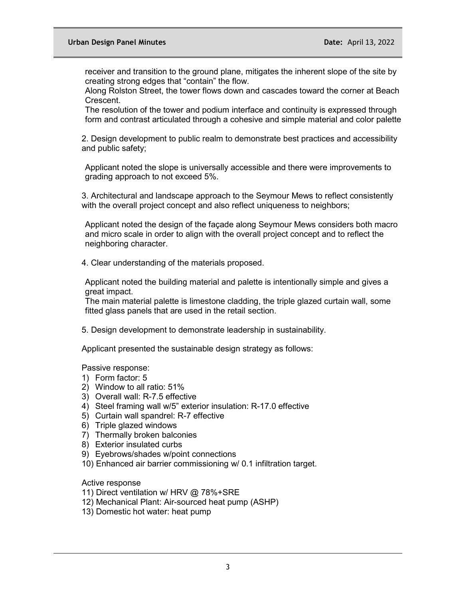receiver and transition to the ground plane, mitigates the inherent slope of the site by creating strong edges that "contain" the flow.

Along Rolston Street, the tower flows down and cascades toward the corner at Beach Crescent.

The resolution of the tower and podium interface and continuity is expressed through form and contrast articulated through a cohesive and simple material and color palette

2. Design development to public realm to demonstrate best practices and accessibility and public safety;

Applicant noted the slope is universally accessible and there were improvements to grading approach to not exceed 5%.

3. Architectural and landscape approach to the Seymour Mews to reflect consistently with the overall project concept and also reflect uniqueness to neighbors;

Applicant noted the design of the façade along Seymour Mews considers both macro and micro scale in order to align with the overall project concept and to reflect the neighboring character.

4. Clear understanding of the materials proposed.

Applicant noted the building material and palette is intentionally simple and gives a great impact.

The main material palette is limestone cladding, the triple glazed curtain wall, some fitted glass panels that are used in the retail section.

5. Design development to demonstrate leadership in sustainability.

Applicant presented the sustainable design strategy as follows:

Passive response:

- 1) Form factor: 5
- 2) Window to all ratio: 51%
- 3) Overall wall: R-7.5 effective
- 4) Steel framing wall w/5" exterior insulation: R-17.0 effective
- 5) Curtain wall spandrel: R-7 effective
- 6) Triple glazed windows
- 7) Thermally broken balconies
- 8) Exterior insulated curbs
- 9) Eyebrows/shades w/point connections
- 10) Enhanced air barrier commissioning w/ 0.1 infiltration target.

Active response

- 11) Direct ventilation w/ HRV @ 78%+SRE
- 12) Mechanical Plant: Air-sourced heat pump (ASHP)
- 13) Domestic hot water: heat pump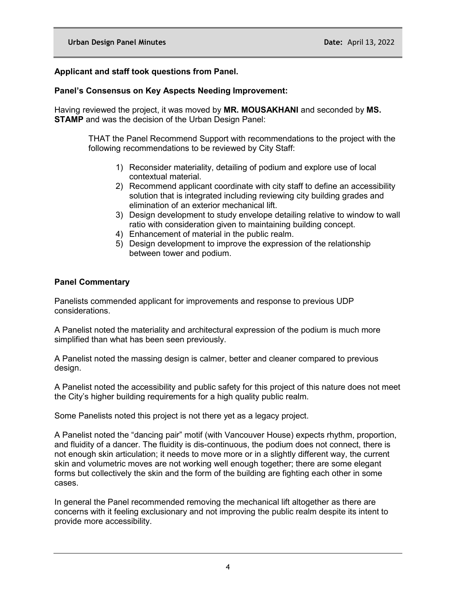# **Applicant and staff took questions from Panel.**

# **Panel's Consensus on Key Aspects Needing Improvement:**

Having reviewed the project, it was moved by **MR. MOUSAKHANI** and seconded by **MS. STAMP** and was the decision of the Urban Design Panel:

> THAT the Panel Recommend Support with recommendations to the project with the following recommendations to be reviewed by City Staff:

- 1) Reconsider materiality, detailing of podium and explore use of local contextual material.
- 2) Recommend applicant coordinate with city staff to define an accessibility solution that is integrated including reviewing city building grades and elimination of an exterior mechanical lift.
- 3) Design development to study envelope detailing relative to window to wall ratio with consideration given to maintaining building concept.
- 4) Enhancement of material in the public realm.
- 5) Design development to improve the expression of the relationship between tower and podium.

## **Panel Commentary**

Panelists commended applicant for improvements and response to previous UDP considerations.

A Panelist noted the materiality and architectural expression of the podium is much more simplified than what has been seen previously.

A Panelist noted the massing design is calmer, better and cleaner compared to previous design.

A Panelist noted the accessibility and public safety for this project of this nature does not meet the City's higher building requirements for a high quality public realm.

Some Panelists noted this project is not there yet as a legacy project.

A Panelist noted the "dancing pair" motif (with Vancouver House) expects rhythm, proportion, and fluidity of a dancer. The fluidity is dis-continuous, the podium does not connect, there is not enough skin articulation; it needs to move more or in a slightly different way, the current skin and volumetric moves are not working well enough together; there are some elegant forms but collectively the skin and the form of the building are fighting each other in some cases.

In general the Panel recommended removing the mechanical lift altogether as there are concerns with it feeling exclusionary and not improving the public realm despite its intent to provide more accessibility.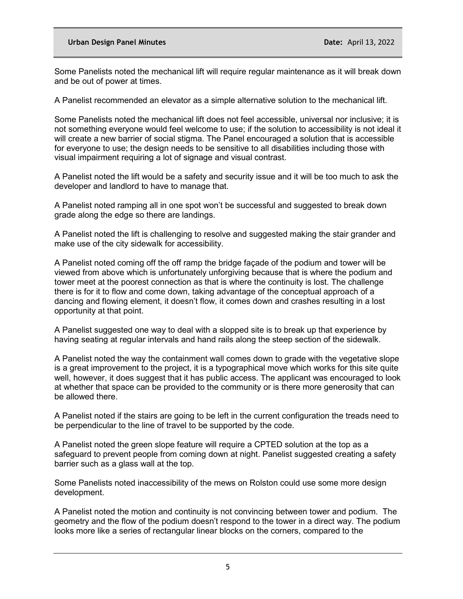Some Panelists noted the mechanical lift will require regular maintenance as it will break down and be out of power at times.

A Panelist recommended an elevator as a simple alternative solution to the mechanical lift.

Some Panelists noted the mechanical lift does not feel accessible, universal nor inclusive; it is not something everyone would feel welcome to use; if the solution to accessibility is not ideal it will create a new barrier of social stigma. The Panel encouraged a solution that is accessible for everyone to use; the design needs to be sensitive to all disabilities including those with visual impairment requiring a lot of signage and visual contrast.

A Panelist noted the lift would be a safety and security issue and it will be too much to ask the developer and landlord to have to manage that.

A Panelist noted ramping all in one spot won't be successful and suggested to break down grade along the edge so there are landings.

A Panelist noted the lift is challenging to resolve and suggested making the stair grander and make use of the city sidewalk for accessibility.

A Panelist noted coming off the off ramp the bridge façade of the podium and tower will be viewed from above which is unfortunately unforgiving because that is where the podium and tower meet at the poorest connection as that is where the continuity is lost. The challenge there is for it to flow and come down, taking advantage of the conceptual approach of a dancing and flowing element, it doesn't flow, it comes down and crashes resulting in a lost opportunity at that point.

A Panelist suggested one way to deal with a slopped site is to break up that experience by having seating at regular intervals and hand rails along the steep section of the sidewalk.

A Panelist noted the way the containment wall comes down to grade with the vegetative slope is a great improvement to the project, it is a typographical move which works for this site quite well, however, it does suggest that it has public access. The applicant was encouraged to look at whether that space can be provided to the community or is there more generosity that can be allowed there.

A Panelist noted if the stairs are going to be left in the current configuration the treads need to be perpendicular to the line of travel to be supported by the code.

A Panelist noted the green slope feature will require a CPTED solution at the top as a safeguard to prevent people from coming down at night. Panelist suggested creating a safety barrier such as a glass wall at the top.

Some Panelists noted inaccessibility of the mews on Rolston could use some more design development.

A Panelist noted the motion and continuity is not convincing between tower and podium. The geometry and the flow of the podium doesn't respond to the tower in a direct way. The podium looks more like a series of rectangular linear blocks on the corners, compared to the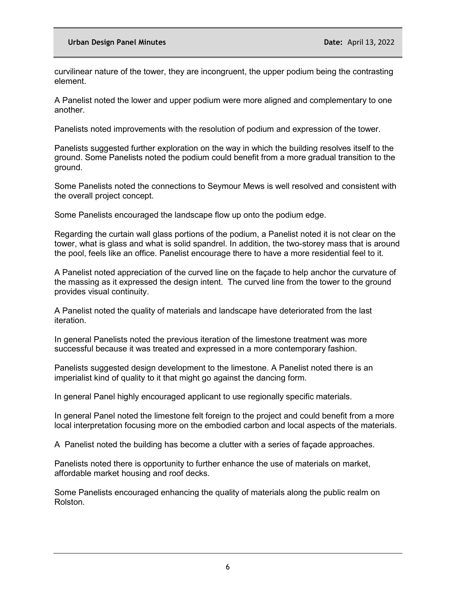curvilinear nature of the tower, they are incongruent, the upper podium being the contrasting element.

A Panelist noted the lower and upper podium were more aligned and complementary to one another.

Panelists noted improvements with the resolution of podium and expression of the tower.

Panelists suggested further exploration on the way in which the building resolves itself to the ground. Some Panelists noted the podium could benefit from a more gradual transition to the ground.

Some Panelists noted the connections to Seymour Mews is well resolved and consistent with the overall project concept.

Some Panelists encouraged the landscape flow up onto the podium edge.

Regarding the curtain wall glass portions of the podium, a Panelist noted it is not clear on the tower, what is glass and what is solid spandrel. In addition, the two-storey mass that is around the pool, feels like an office. Panelist encourage there to have a more residential feel to it.

A Panelist noted appreciation of the curved line on the façade to help anchor the curvature of the massing as it expressed the design intent. The curved line from the tower to the ground provides visual continuity.

A Panelist noted the quality of materials and landscape have deteriorated from the last iteration.

In general Panelists noted the previous iteration of the limestone treatment was more successful because it was treated and expressed in a more contemporary fashion.

Panelists suggested design development to the limestone. A Panelist noted there is an imperialist kind of quality to it that might go against the dancing form.

In general Panel highly encouraged applicant to use regionally specific materials.

In general Panel noted the limestone felt foreign to the project and could benefit from a more local interpretation focusing more on the embodied carbon and local aspects of the materials.

A Panelist noted the building has become a clutter with a series of façade approaches.

Panelists noted there is opportunity to further enhance the use of materials on market, affordable market housing and roof decks.

Some Panelists encouraged enhancing the quality of materials along the public realm on Rolston.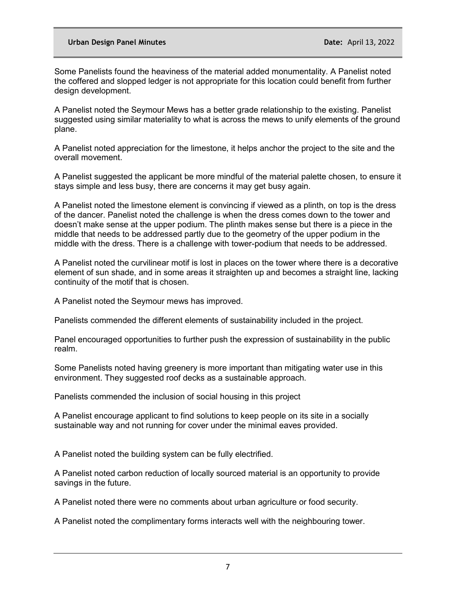Some Panelists found the heaviness of the material added monumentality. A Panelist noted the coffered and slopped ledger is not appropriate for this location could benefit from further design development.

A Panelist noted the Seymour Mews has a better grade relationship to the existing. Panelist suggested using similar materiality to what is across the mews to unify elements of the ground plane.

A Panelist noted appreciation for the limestone, it helps anchor the project to the site and the overall movement.

A Panelist suggested the applicant be more mindful of the material palette chosen, to ensure it stays simple and less busy, there are concerns it may get busy again.

A Panelist noted the limestone element is convincing if viewed as a plinth, on top is the dress of the dancer. Panelist noted the challenge is when the dress comes down to the tower and doesn't make sense at the upper podium. The plinth makes sense but there is a piece in the middle that needs to be addressed partly due to the geometry of the upper podium in the middle with the dress. There is a challenge with tower-podium that needs to be addressed.

A Panelist noted the curvilinear motif is lost in places on the tower where there is a decorative element of sun shade, and in some areas it straighten up and becomes a straight line, lacking continuity of the motif that is chosen.

A Panelist noted the Seymour mews has improved.

Panelists commended the different elements of sustainability included in the project.

Panel encouraged opportunities to further push the expression of sustainability in the public realm.

Some Panelists noted having greenery is more important than mitigating water use in this environment. They suggested roof decks as a sustainable approach.

Panelists commended the inclusion of social housing in this project

A Panelist encourage applicant to find solutions to keep people on its site in a socially sustainable way and not running for cover under the minimal eaves provided.

A Panelist noted the building system can be fully electrified.

A Panelist noted carbon reduction of locally sourced material is an opportunity to provide savings in the future.

A Panelist noted there were no comments about urban agriculture or food security.

A Panelist noted the complimentary forms interacts well with the neighbouring tower.